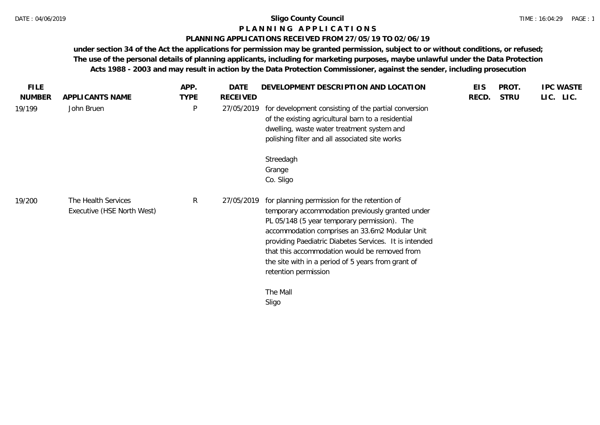# **P L A N N I N G A P P L I C A T I O N S**

## **PLANNING APPLICATIONS RECEIVED FROM 27/05/19 TO 02/06/19**

| <b>FILE</b>   |                                                   | APP.        | <b>DATE</b>     | DEVELOPMENT DESCRIPTION AND LOCATION                                                                                                                                                                                                                                                                                                                                                        | <b>EIS</b> | PROT.       | <b>IPC WASTE</b> |
|---------------|---------------------------------------------------|-------------|-----------------|---------------------------------------------------------------------------------------------------------------------------------------------------------------------------------------------------------------------------------------------------------------------------------------------------------------------------------------------------------------------------------------------|------------|-------------|------------------|
| <b>NUMBER</b> | APPLICANTS NAME                                   | <b>TYPE</b> | <b>RECEIVED</b> |                                                                                                                                                                                                                                                                                                                                                                                             | RECD.      | <b>STRU</b> | LIC. LIC.        |
| 19/199        | John Bruen                                        | $\sf P$     | 27/05/2019      | for development consisting of the partial conversion<br>of the existing agricultural barn to a residential<br>dwelling, waste water treatment system and<br>polishing filter and all associated site works                                                                                                                                                                                  |            |             |                  |
|               |                                                   |             |                 | Streedagh<br>Grange<br>Co. Sligo                                                                                                                                                                                                                                                                                                                                                            |            |             |                  |
| 19/200        | The Health Services<br>Executive (HSE North West) | R           | 27/05/2019      | for planning permission for the retention of<br>temporary accommodation previously granted under<br>PL 05/148 (5 year temporary permission). The<br>accommodation comprises an 33.6m2 Modular Unit<br>providing Paediatric Diabetes Services. It is intended<br>that this accommodation would be removed from<br>the site with in a period of 5 years from grant of<br>retention permission |            |             |                  |
|               |                                                   |             |                 | The Mall<br>Sligo                                                                                                                                                                                                                                                                                                                                                                           |            |             |                  |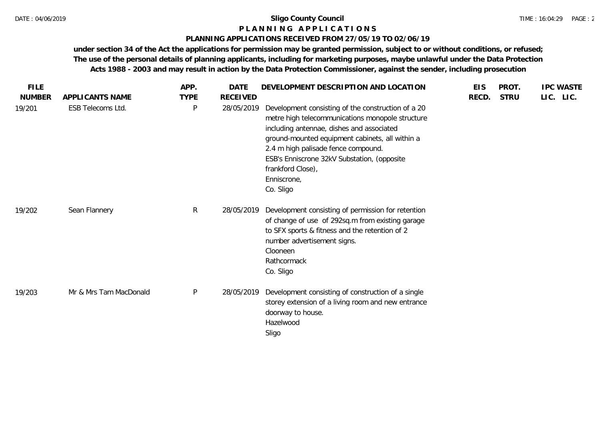#### **P L A N N I N G A P P L I C A T I O N S**

### **PLANNING APPLICATIONS RECEIVED FROM 27/05/19 TO 02/06/19**

| <b>FILE</b>   |                        | APP.         | <b>DATE</b>     | DEVELOPMENT DESCRIPTION AND LOCATION                                                                                                                                                                                                                                                                                                          | <b>EIS</b> | PROT.       | <b>IPC WASTE</b> |
|---------------|------------------------|--------------|-----------------|-----------------------------------------------------------------------------------------------------------------------------------------------------------------------------------------------------------------------------------------------------------------------------------------------------------------------------------------------|------------|-------------|------------------|
| <b>NUMBER</b> | APPLICANTS NAME        | <b>TYPE</b>  | <b>RECEIVED</b> |                                                                                                                                                                                                                                                                                                                                               | RECD.      | <b>STRU</b> | LIC. LIC.        |
| 19/201        | ESB Telecoms Ltd.      | $\mathsf{P}$ | 28/05/2019      | Development consisting of the construction of a 20<br>metre high telecommunications monopole structure<br>including antennae, dishes and associated<br>ground-mounted equipment cabinets, all within a<br>2.4 m high palisade fence compound.<br>ESB's Enniscrone 32kV Substation, (opposite<br>frankford Close),<br>Enniscrone,<br>Co. Sligo |            |             |                  |
| 19/202        | Sean Flannery          | $\mathsf{R}$ | 28/05/2019      | Development consisting of permission for retention<br>of change of use of 292sq.m from existing garage<br>to SFX sports & fitness and the retention of 2<br>number advertisement signs.<br>Clooneen<br>Rathcormack<br>Co. Sligo                                                                                                               |            |             |                  |
| 19/203        | Mr & Mrs Tam MacDonald | $\mathsf{P}$ | 28/05/2019      | Development consisting of construction of a single<br>storey extension of a living room and new entrance<br>doorway to house.<br>Hazelwood<br>Sligo                                                                                                                                                                                           |            |             |                  |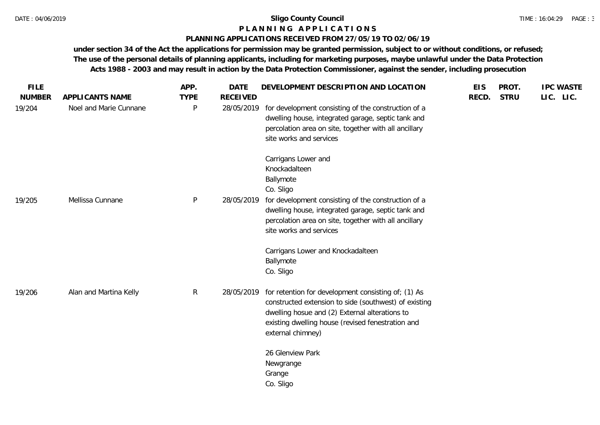# **P L A N N I N G A P P L I C A T I O N S**

# **PLANNING APPLICATIONS RECEIVED FROM 27/05/19 TO 02/06/19**

| <b>FILE</b><br><b>NUMBER</b> | APPLICANTS NAME        | APP.<br><b>TYPE</b> | <b>DATE</b><br><b>RECEIVED</b> | DEVELOPMENT DESCRIPTION AND LOCATION                                                                                                                                                                                                     | <b>EIS</b><br>RECD. | PROT.<br><b>STRU</b> | <b>IPC WASTE</b><br>LIC. LIC. |
|------------------------------|------------------------|---------------------|--------------------------------|------------------------------------------------------------------------------------------------------------------------------------------------------------------------------------------------------------------------------------------|---------------------|----------------------|-------------------------------|
| 19/204                       | Noel and Marie Cunnane | P                   | 28/05/2019                     | for development consisting of the construction of a<br>dwelling house, integrated garage, septic tank and<br>percolation area on site, together with all ancillary<br>site works and services                                            |                     |                      |                               |
|                              |                        |                     |                                | Carrigans Lower and<br>Knockadalteen<br>Ballymote<br>Co. Sligo                                                                                                                                                                           |                     |                      |                               |
| 19/205                       | Mellissa Cunnane       | P                   | 28/05/2019                     | for development consisting of the construction of a<br>dwelling house, integrated garage, septic tank and<br>percolation area on site, together with all ancillary<br>site works and services                                            |                     |                      |                               |
|                              |                        |                     |                                | Carrigans Lower and Knockadalteen<br>Ballymote<br>Co. Sligo                                                                                                                                                                              |                     |                      |                               |
| 19/206                       | Alan and Martina Kelly | $\mathsf{R}$        | 28/05/2019                     | for retention for development consisting of; (1) As<br>constructed extension to side (southwest) of existing<br>dwelling hosue and (2) External alterations to<br>existing dwelling house (revised fenestration and<br>external chimney) |                     |                      |                               |
|                              |                        |                     |                                | 26 Glenview Park<br>Newgrange<br>Grange<br>Co. Sligo                                                                                                                                                                                     |                     |                      |                               |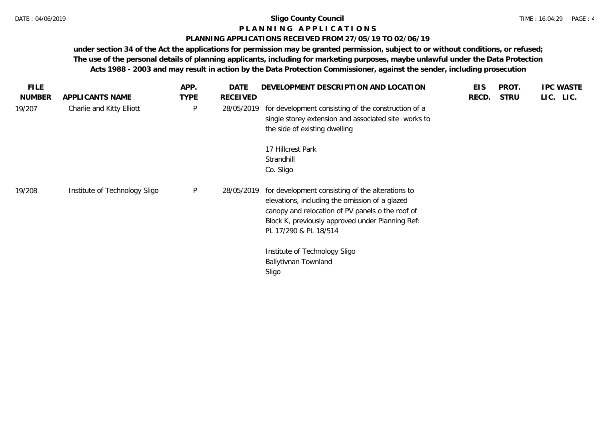# **P L A N N I N G A P P L I C A T I O N S**

# **PLANNING APPLICATIONS RECEIVED FROM 27/05/19 TO 02/06/19**

| <b>FILE</b>   |                               | APP.         | DATE       | DEVELOPMENT DESCRIPTION AND LOCATION                                                                                                                                                                                                | <b>EIS</b> | PROT.       | <b>IPC WASTE</b> |
|---------------|-------------------------------|--------------|------------|-------------------------------------------------------------------------------------------------------------------------------------------------------------------------------------------------------------------------------------|------------|-------------|------------------|
| <b>NUMBER</b> | APPLICANTS NAME               | <b>TYPE</b>  | RECEIVED   |                                                                                                                                                                                                                                     | RECD.      | <b>STRU</b> | LIC. LIC.        |
| 19/207        | Charlie and Kitty Elliott     | $\mathsf{P}$ | 28/05/2019 | for development consisting of the construction of a<br>single storey extension and associated site works to<br>the side of existing dwelling                                                                                        |            |             |                  |
|               |                               |              |            | 17 Hillcrest Park<br>Strandhill<br>Co. Sligo                                                                                                                                                                                        |            |             |                  |
| 19/208        | Institute of Technology Sligo | P            | 28/05/2019 | for development consisting of the alterations to<br>elevations, including the omission of a glazed<br>canopy and relocation of PV panels o the roof of<br>Block K, previously approved under Planning Ref:<br>PL 17/290 & PL 18/514 |            |             |                  |
|               |                               |              |            | Institute of Technology Sligo<br>Ballytivnan Townland<br>Sligo                                                                                                                                                                      |            |             |                  |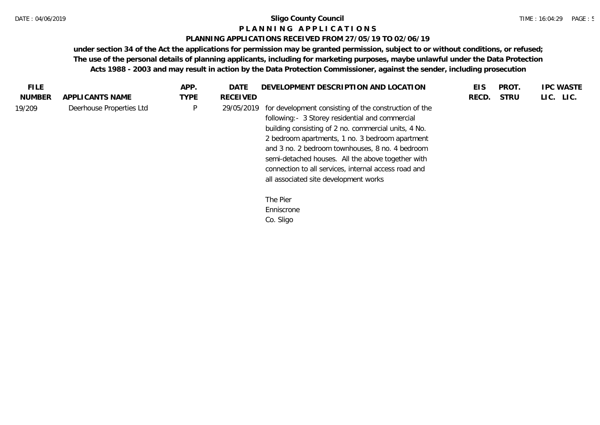#### **P L A N N I N G A P P L I C A T I O N S**

#### **PLANNING APPLICATIONS RECEIVED FROM 27/05/19 TO 02/06/19**

| FILE.         |                          | APP.         | DATE            | DEVELOPMENT DESCRIPTION AND LOCATION                                                                                                                                                                                                                                                                                                                                                                                         | EIS   | PROT.       | <b>IPC WASTE</b> |
|---------------|--------------------------|--------------|-----------------|------------------------------------------------------------------------------------------------------------------------------------------------------------------------------------------------------------------------------------------------------------------------------------------------------------------------------------------------------------------------------------------------------------------------------|-------|-------------|------------------|
| <b>NUMBER</b> | APPLICANTS NAME          | <b>TYPE</b>  | <b>RECEIVED</b> |                                                                                                                                                                                                                                                                                                                                                                                                                              | RECD. | <b>STRU</b> | LIC. LIC.        |
| 19/209        | Deerhouse Properties Ltd | $\mathsf{P}$ | 29/05/2019      | for development consisting of the construction of the<br>following:- 3 Storey residential and commercial<br>building consisting of 2 no. commercial units, 4 No.<br>2 bedroom apartments, 1 no. 3 bedroom apartment<br>and 3 no. 2 bedroom townhouses, 8 no. 4 bedroom<br>semi-detached houses. All the above together with<br>connection to all services, internal access road and<br>all associated site development works |       |             |                  |
|               |                          |              |                 | The Pier                                                                                                                                                                                                                                                                                                                                                                                                                     |       |             |                  |
|               |                          |              |                 | Enniscrone                                                                                                                                                                                                                                                                                                                                                                                                                   |       |             |                  |
|               |                          |              |                 | Co. Sligo                                                                                                                                                                                                                                                                                                                                                                                                                    |       |             |                  |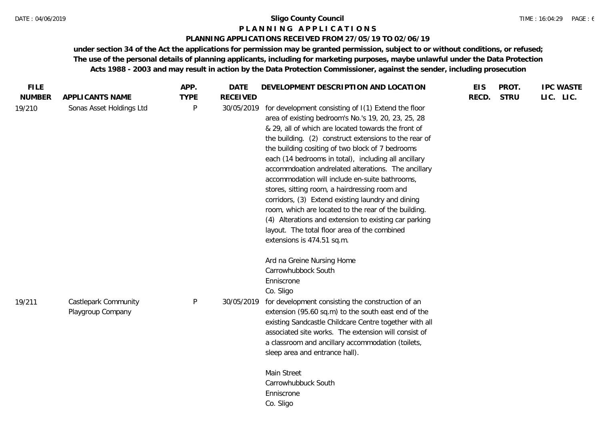#### **P L A N N I N G A P P L I C A T I O N S**

### **PLANNING APPLICATIONS RECEIVED FROM 27/05/19 TO 02/06/19**

| <b>FILE</b>   |                          | APP.        | <b>DATE</b>     | DEVELOPMENT DESCRIPTION AND LOCATION                                                                                                                                                                                                                                                                                                                                                                                                                                                                                                                                                                                                                                                                                                                 | <b>EIS</b> | PROT.       | <b>IPC WASTE</b> |
|---------------|--------------------------|-------------|-----------------|------------------------------------------------------------------------------------------------------------------------------------------------------------------------------------------------------------------------------------------------------------------------------------------------------------------------------------------------------------------------------------------------------------------------------------------------------------------------------------------------------------------------------------------------------------------------------------------------------------------------------------------------------------------------------------------------------------------------------------------------------|------------|-------------|------------------|
| <b>NUMBER</b> | APPLICANTS NAME          | <b>TYPE</b> | <b>RECEIVED</b> |                                                                                                                                                                                                                                                                                                                                                                                                                                                                                                                                                                                                                                                                                                                                                      | RECD.      | <b>STRU</b> | LIC. LIC.        |
| 19/210        | Sonas Asset Holdings Ltd | P           | 30/05/2019      | for development consisting of I(1) Extend the floor<br>area of existing bedroom's No.'s 19, 20, 23, 25, 28<br>& 29, all of which are located towards the front of<br>the building. (2) construct extensions to the rear of<br>the building cositing of two block of 7 bedrooms<br>each (14 bedrooms in total), including all ancillary<br>accommdoation andrelated alterations. The ancillary<br>accommodation will include en-suite bathrooms,<br>stores, sitting room, a hairdressing room and<br>corridors, (3) Extend existing laundry and dining<br>room, which are located to the rear of the building.<br>(4) Alterations and extension to existing car parking<br>layout. The total floor area of the combined<br>extensions is 474.51 sq.m. |            |             |                  |
|               |                          |             |                 | Ard na Greine Nursing Home                                                                                                                                                                                                                                                                                                                                                                                                                                                                                                                                                                                                                                                                                                                           |            |             |                  |
|               |                          |             |                 | Carrowhubbock South                                                                                                                                                                                                                                                                                                                                                                                                                                                                                                                                                                                                                                                                                                                                  |            |             |                  |
|               |                          |             |                 | Enniscrone                                                                                                                                                                                                                                                                                                                                                                                                                                                                                                                                                                                                                                                                                                                                           |            |             |                  |
|               |                          |             |                 | Co. Sligo                                                                                                                                                                                                                                                                                                                                                                                                                                                                                                                                                                                                                                                                                                                                            |            |             |                  |
| 19/211        | Castlepark Community     | $\sf P$     | 30/05/2019      | for development consisting the construction of an                                                                                                                                                                                                                                                                                                                                                                                                                                                                                                                                                                                                                                                                                                    |            |             |                  |
|               | Playgroup Company        |             |                 | extension (95.60 sq.m) to the south east end of the<br>existing Sandcastle Childcare Centre together with all                                                                                                                                                                                                                                                                                                                                                                                                                                                                                                                                                                                                                                        |            |             |                  |
|               |                          |             |                 | associated site works. The extension will consist of                                                                                                                                                                                                                                                                                                                                                                                                                                                                                                                                                                                                                                                                                                 |            |             |                  |
|               |                          |             |                 | a classroom and ancillary accommodation (toilets,                                                                                                                                                                                                                                                                                                                                                                                                                                                                                                                                                                                                                                                                                                    |            |             |                  |
|               |                          |             |                 | sleep area and entrance hall).                                                                                                                                                                                                                                                                                                                                                                                                                                                                                                                                                                                                                                                                                                                       |            |             |                  |
|               |                          |             |                 | Main Street                                                                                                                                                                                                                                                                                                                                                                                                                                                                                                                                                                                                                                                                                                                                          |            |             |                  |
|               |                          |             |                 | Carrowhubbuck South                                                                                                                                                                                                                                                                                                                                                                                                                                                                                                                                                                                                                                                                                                                                  |            |             |                  |
|               |                          |             |                 | Enniscrone                                                                                                                                                                                                                                                                                                                                                                                                                                                                                                                                                                                                                                                                                                                                           |            |             |                  |
|               |                          |             |                 | Co. Sligo                                                                                                                                                                                                                                                                                                                                                                                                                                                                                                                                                                                                                                                                                                                                            |            |             |                  |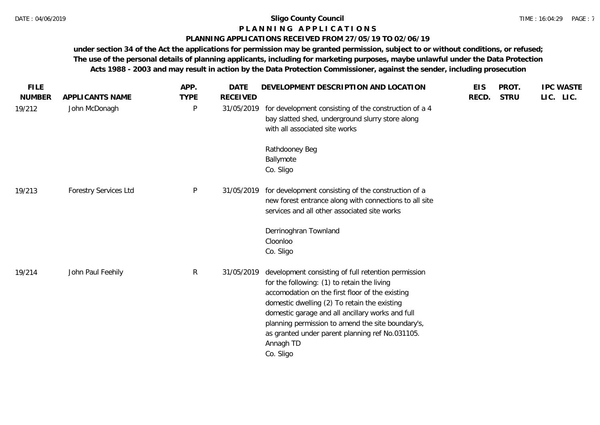#### **P L A N N I N G A P P L I C A T I O N S**

## **PLANNING APPLICATIONS RECEIVED FROM 27/05/19 TO 02/06/19**

| <b>FILE</b><br><b>NUMBER</b> | APPLICANTS NAME              | APP.<br><b>TYPE</b> | <b>DATE</b><br><b>RECEIVED</b> | DEVELOPMENT DESCRIPTION AND LOCATION                                                                                                                                                                                                                                                                                                                                                        | <b>EIS</b><br>RECD. | PROT.<br><b>STRU</b> | <b>IPC WASTE</b><br>LIC. LIC. |
|------------------------------|------------------------------|---------------------|--------------------------------|---------------------------------------------------------------------------------------------------------------------------------------------------------------------------------------------------------------------------------------------------------------------------------------------------------------------------------------------------------------------------------------------|---------------------|----------------------|-------------------------------|
| 19/212                       | John McDonagh                | P                   | 31/05/2019                     | for development consisting of the construction of a 4<br>bay slatted shed, underground slurry store along<br>with all associated site works                                                                                                                                                                                                                                                 |                     |                      |                               |
|                              |                              |                     |                                | Rathdooney Beg<br>Ballymote<br>Co. Sligo                                                                                                                                                                                                                                                                                                                                                    |                     |                      |                               |
| 19/213                       | <b>Forestry Services Ltd</b> | P                   | 31/05/2019                     | for development consisting of the construction of a<br>new forest entrance along with connections to all site<br>services and all other associated site works                                                                                                                                                                                                                               |                     |                      |                               |
|                              |                              |                     |                                | Derrinoghran Townland<br>Cloonloo<br>Co. Sligo                                                                                                                                                                                                                                                                                                                                              |                     |                      |                               |
| 19/214                       | John Paul Feehily            | $\mathsf{R}$        | 31/05/2019                     | development consisting of full retention permission<br>for the following: (1) to retain the living<br>accomodation on the first floor of the existing<br>domestic dwelling (2) To retain the existing<br>domestic garage and all ancillary works and full<br>planning permission to amend the site boundary's,<br>as granted under parent planning ref No.031105.<br>Annagh TD<br>Co. Sligo |                     |                      |                               |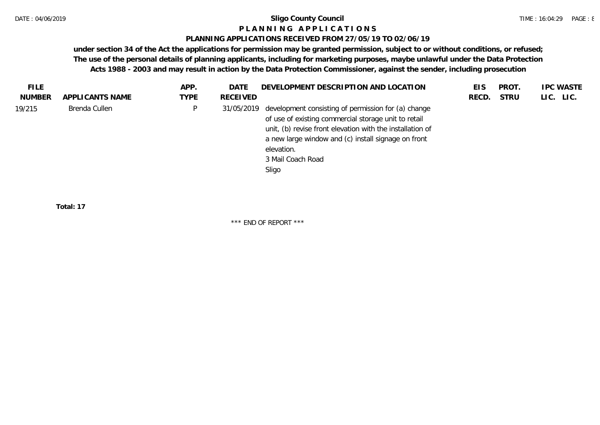#### **P L A N N I N G A P P L I C A T I O N S**

#### **PLANNING APPLICATIONS RECEIVED FROM 27/05/19 TO 02/06/19**

**under section 34 of the Act the applications for permission may be granted permission, subject to or without conditions, or refused; The use of the personal details of planning applicants, including for marketing purposes, maybe unlawful under the Data Protection Acts 1988 - 2003 and may result in action by the Data Protection Commissioner, against the sender, including prosecution**

| <b>FILE</b> |                 | APP. | DATE       | DEVELOPMENT DESCRIPTION AND LOCATION                                                                                                                                                                                                                                        | EIS   | PROT.       | <b>IPC WASTE</b> |
|-------------|-----------------|------|------------|-----------------------------------------------------------------------------------------------------------------------------------------------------------------------------------------------------------------------------------------------------------------------------|-------|-------------|------------------|
| NUMBER      | APPLICANTS NAME | TYPE | RECEIVED   |                                                                                                                                                                                                                                                                             | RECD. | <b>STRU</b> | LIC. LIC.        |
| 19/215      | Brenda Cullen   | P    | 31/05/2019 | development consisting of permission for (a) change<br>of use of existing commercial storage unit to retail<br>unit, (b) revise front elevation with the installation of<br>a new large window and (c) install signage on front<br>elevation.<br>3 Mail Coach Road<br>Sligo |       |             |                  |
|             |                 |      |            |                                                                                                                                                                                                                                                                             |       |             |                  |

**Total: 17**

\*\*\* END OF REPORT \*\*\*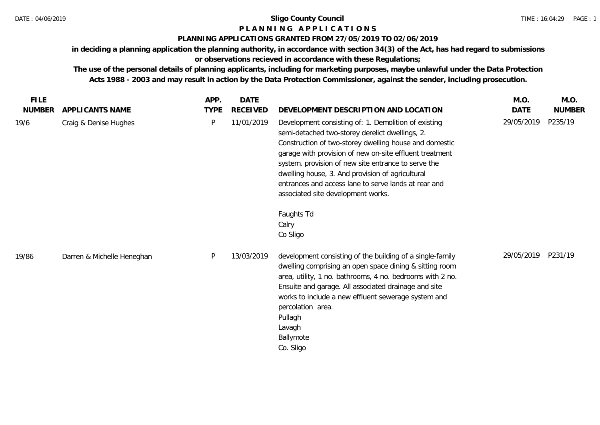# **P L A N N I N G A P P L I C A T I O N S**

# **PLANNING APPLICATIONS GRANTED FROM 27/05/2019 TO 02/06/2019**

**in deciding a planning application the planning authority, in accordance with section 34(3) of the Act, has had regard to submissions** 

# **or observations recieved in accordance with these Regulations;**

**The use of the personal details of planning applicants, including for marketing purposes, maybe unlawful under the Data Protection Acts 1988 - 2003 and may result in action by the Data Protection Commissioner, against the sender, including prosecution.**

| <b>FILE</b>   |                            | APP.        | DATE            |                                                                                                                                                                                                                                                                                                                                                                                                                                                                          | M.O.       | M.O.          |
|---------------|----------------------------|-------------|-----------------|--------------------------------------------------------------------------------------------------------------------------------------------------------------------------------------------------------------------------------------------------------------------------------------------------------------------------------------------------------------------------------------------------------------------------------------------------------------------------|------------|---------------|
| <b>NUMBER</b> | APPLICANTS NAME            | <b>TYPE</b> | <b>RECEIVED</b> | DEVELOPMENT DESCRIPTION AND LOCATION                                                                                                                                                                                                                                                                                                                                                                                                                                     | DATE       | <b>NUMBER</b> |
| 19/6          | Craig & Denise Hughes      | P           | 11/01/2019      | Development consisting of: 1. Demolition of existing<br>semi-detached two-storey derelict dwellings, 2.<br>Construction of two-storey dwelling house and domestic<br>garage with provision of new on-site effluent treatment<br>system, provision of new site entrance to serve the<br>dwelling house, 3. And provision of agricultural<br>entrances and access lane to serve lands at rear and<br>associated site development works.<br>Faughts Td<br>Calry<br>Co Sligo | 29/05/2019 | P235/19       |
| 19/86         | Darren & Michelle Heneghan | P           | 13/03/2019      | development consisting of the building of a single-family<br>dwelling comprising an open space dining & sitting room<br>area, utility, 1 no. bathrooms, 4 no. bedrooms with 2 no.<br>Ensuite and garage. All associated drainage and site<br>works to include a new effluent sewerage system and<br>percolation area.<br>Pullagh<br>Lavagh<br>Ballymote<br>Co. Sligo                                                                                                     | 29/05/2019 | P231/19       |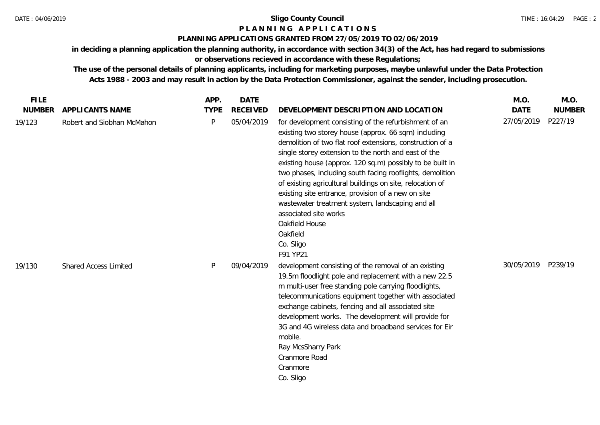# **P L A N N I N G A P P L I C A T I O N S**

## **PLANNING APPLICATIONS GRANTED FROM 27/05/2019 TO 02/06/2019**

**in deciding a planning application the planning authority, in accordance with section 34(3) of the Act, has had regard to submissions or observations recieved in accordance with these Regulations;**

**The use of the personal details of planning applicants, including for marketing purposes, maybe unlawful under the Data Protection Acts 1988 - 2003 and may result in action by the Data Protection Commissioner, against the sender, including prosecution.**

| <b>FILE</b>   |                              | APP.        | <b>DATE</b>     |                                                                                                                                                                                                                                                                                                                                                                                                                                                                                                                                                                                                                     | M.O.        | M.O.          |
|---------------|------------------------------|-------------|-----------------|---------------------------------------------------------------------------------------------------------------------------------------------------------------------------------------------------------------------------------------------------------------------------------------------------------------------------------------------------------------------------------------------------------------------------------------------------------------------------------------------------------------------------------------------------------------------------------------------------------------------|-------------|---------------|
| <b>NUMBER</b> | APPLICANTS NAME              | <b>TYPE</b> | <b>RECEIVED</b> | DEVELOPMENT DESCRIPTION AND LOCATION                                                                                                                                                                                                                                                                                                                                                                                                                                                                                                                                                                                | <b>DATE</b> | <b>NUMBER</b> |
| 19/123        | Robert and Siobhan McMahon   | P           | 05/04/2019      | for development consisting of the refurbishment of an<br>existing two storey house (approx. 66 sqm) including<br>demolition of two flat roof extensions, construction of a<br>single storey extension to the north and east of the<br>existing house (approx. 120 sq.m) possibly to be built in<br>two phases, including south facing rooflights, demolition<br>of existing agricultural buildings on site, relocation of<br>existing site entrance, provision of a new on site<br>wastewater treatment system, landscaping and all<br>associated site works<br>Oakfield House<br>Oakfield<br>Co. Sligo<br>F91 YP21 | 27/05/2019  | P227/19       |
| 19/130        | <b>Shared Access Limited</b> | P           | 09/04/2019      | development consisting of the removal of an existing<br>19.5m floodlight pole and replacement with a new 22.5<br>m multi-user free standing pole carrying floodlights,<br>telecommunications equipment together with associated<br>exchange cabinets, fencing and all associated site<br>development works. The development will provide for<br>3G and 4G wireless data and broadband services for Eir<br>mobile.<br>Ray McsSharry Park<br>Cranmore Road<br>Cranmore<br>Co. Sligo                                                                                                                                   | 30/05/2019  | P239/19       |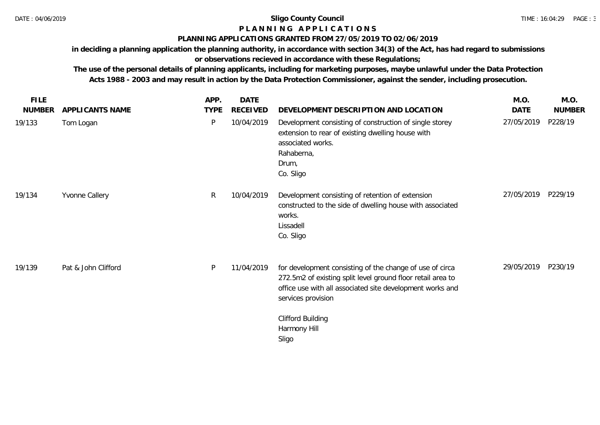# **P L A N N I N G A P P L I C A T I O N S**

#### **PLANNING APPLICATIONS GRANTED FROM 27/05/2019 TO 02/06/2019**

**in deciding a planning application the planning authority, in accordance with section 34(3) of the Act, has had regard to submissions or observations recieved in accordance with these Regulations;**

**The use of the personal details of planning applicants, including for marketing purposes, maybe unlawful under the Data Protection Acts 1988 - 2003 and may result in action by the Data Protection Commissioner, against the sender, including prosecution.**

| <b>FILE</b>   |                     | APP.        | <b>DATE</b>     |                                                                                                                                                                                                            | M.O.       | M.O.          |
|---------------|---------------------|-------------|-----------------|------------------------------------------------------------------------------------------------------------------------------------------------------------------------------------------------------------|------------|---------------|
| <b>NUMBER</b> | APPLICANTS NAME     | <b>TYPE</b> | <b>RECEIVED</b> | DEVELOPMENT DESCRIPTION AND LOCATION                                                                                                                                                                       | DATE       | <b>NUMBER</b> |
| 19/133        | Tom Logan           | P           | 10/04/2019      | Development consisting of construction of single storey<br>extension to rear of existing dwelling house with<br>associated works.<br>Rahaberna,<br>Drum,<br>Co. Sligo                                      | 27/05/2019 | P228/19       |
| 19/134        | Yvonne Callery      | R           | 10/04/2019      | Development consisting of retention of extension<br>constructed to the side of dwelling house with associated<br>works.<br>Lissadell<br>Co. Sligo                                                          | 27/05/2019 | P229/19       |
| 19/139        | Pat & John Clifford | P           | 11/04/2019      | for development consisting of the change of use of circa<br>272.5m2 of existing split level ground floor retail area to<br>office use with all associated site development works and<br>services provision | 29/05/2019 | P230/19       |
|               |                     |             |                 | <b>Clifford Building</b><br>Harmony Hill<br>Sligo                                                                                                                                                          |            |               |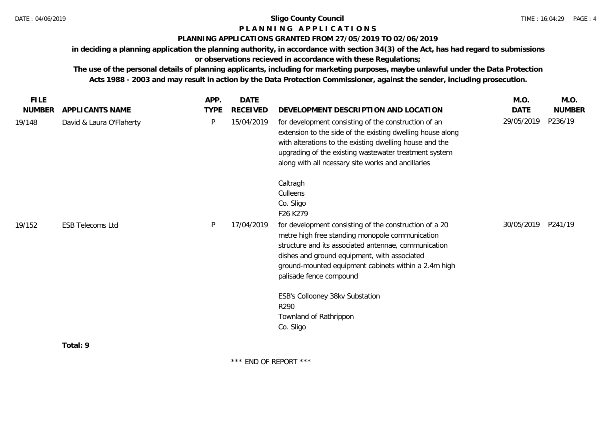# **P L A N N I N G A P P L I C A T I O N S**

#### **PLANNING APPLICATIONS GRANTED FROM 27/05/2019 TO 02/06/2019**

**in deciding a planning application the planning authority, in accordance with section 34(3) of the Act, has had regard to submissions** 

**or observations recieved in accordance with these Regulations;**

**The use of the personal details of planning applicants, including for marketing purposes, maybe unlawful under the Data Protection Acts 1988 - 2003 and may result in action by the Data Protection Commissioner, against the sender, including prosecution.**

| <b>FILE</b>   |                          | APP.        | DATE            |                                                                                                                                                                                                                                                                                                      | M.O.        | M.O.          |
|---------------|--------------------------|-------------|-----------------|------------------------------------------------------------------------------------------------------------------------------------------------------------------------------------------------------------------------------------------------------------------------------------------------------|-------------|---------------|
| <b>NUMBER</b> | APPLICANTS NAME          | <b>TYPE</b> | <b>RECEIVED</b> | DEVELOPMENT DESCRIPTION AND LOCATION                                                                                                                                                                                                                                                                 | <b>DATE</b> | <b>NUMBER</b> |
| 19/148        | David & Laura O'Flaherty | P           | 15/04/2019      | for development consisting of the construction of an<br>extension to the side of the existing dwelling house along<br>with alterations to the existing dwelling house and the<br>upgrading of the existing wastewater treatment system<br>along with all ncessary site works and ancillaries         | 29/05/2019  | P236/19       |
|               |                          |             |                 | Caltragh<br>Culleens<br>Co. Sligo<br>F26 K279                                                                                                                                                                                                                                                        |             |               |
| 19/152        | <b>ESB Telecoms Ltd</b>  | P           | 17/04/2019      | for development consisting of the construction of a 20<br>metre high free standing monopole communication<br>structure and its associated antennae, communication<br>dishes and ground equipment, with associated<br>ground-mounted equipment cabinets within a 2.4m high<br>palisade fence compound | 30/05/2019  | P241/19       |
|               |                          |             |                 | ESB's Collooney 38kv Substation<br>R290<br>Townland of Rathrippon<br>Co. Sligo                                                                                                                                                                                                                       |             |               |
|               | Total: 9                 |             |                 |                                                                                                                                                                                                                                                                                                      |             |               |

\*\*\* END OF REPORT \*\*\*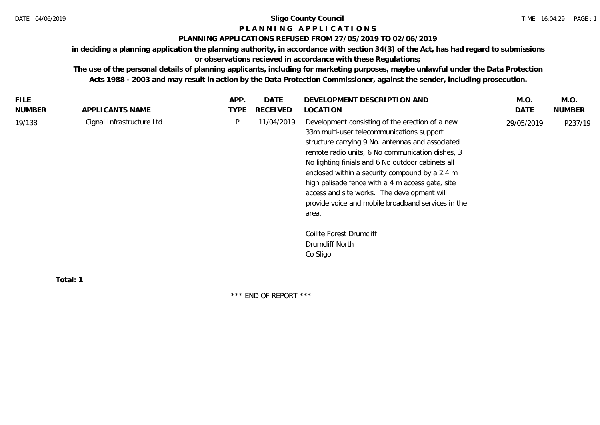# **P L A N N I N G A P P L I C A T I O N S**

### **PLANNING APPLICATIONS REFUSED FROM 27/05/2019 TO 02/06/2019**

**in deciding a planning application the planning authority, in accordance with section 34(3) of the Act, has had regard to submissions** 

**or observations recieved in accordance with these Regulations;**

**The use of the personal details of planning applicants, including for marketing purposes, maybe unlawful under the Data Protection Acts 1988 - 2003 and may result in action by the Data Protection Commissioner, against the sender, including prosecution.**

| FILE.         |                           | APP.        | <b>DATE</b> | DEVELOPMENT DESCRIPTION AND                                                                                                                                                                                                                                                                                                                                                                                                                                                   | M.O.       | M.O.          |
|---------------|---------------------------|-------------|-------------|-------------------------------------------------------------------------------------------------------------------------------------------------------------------------------------------------------------------------------------------------------------------------------------------------------------------------------------------------------------------------------------------------------------------------------------------------------------------------------|------------|---------------|
| <b>NUMBER</b> | APPLICANTS NAME           | <b>TYPE</b> | RECEIVED    | LOCATION                                                                                                                                                                                                                                                                                                                                                                                                                                                                      | DATE       | <b>NUMBER</b> |
| 19/138        | Cignal Infrastructure Ltd | P           | 11/04/2019  | Development consisting of the erection of a new<br>33m multi-user telecommunications support<br>structure carrying 9 No. antennas and associated<br>remote radio units, 6 No communication dishes, 3<br>No lighting finials and 6 No outdoor cabinets all<br>enclosed within a security compound by a 2.4 m<br>high palisade fence with a 4 m access gate, site<br>access and site works. The development will<br>provide voice and mobile broadband services in the<br>area. | 29/05/2019 | P237/19       |
|               |                           |             |             | Coillte Forest Drumcliff                                                                                                                                                                                                                                                                                                                                                                                                                                                      |            |               |
|               |                           |             |             | Drumcliff North                                                                                                                                                                                                                                                                                                                                                                                                                                                               |            |               |
|               |                           |             |             | Co Sligo                                                                                                                                                                                                                                                                                                                                                                                                                                                                      |            |               |
|               |                           |             |             |                                                                                                                                                                                                                                                                                                                                                                                                                                                                               |            |               |
|               | $T0$ tol $\cdot$ 1        |             |             |                                                                                                                                                                                                                                                                                                                                                                                                                                                                               |            |               |

**Total: 1**

\*\*\* END OF REPORT \*\*\*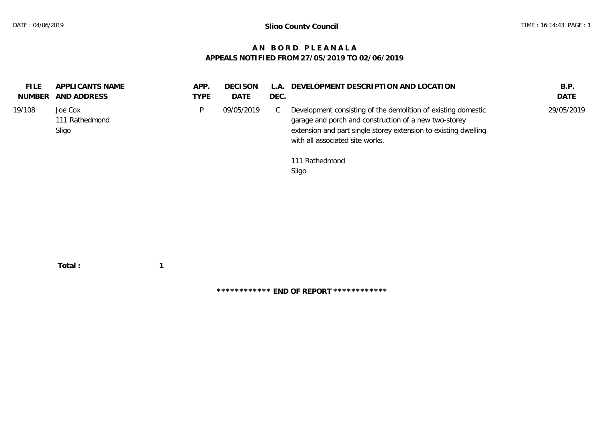# **A N B O R D P L E A N A L A APPEALS NOTIFIED FROM 27/05/2019 TO 02/06/2019**

| <b>FILE</b><br>NUMBER | APPLICANTS NAME<br>AND ADDRESS     | APP.<br>TYPE | <b>DECISON</b><br>DATE | L.A.<br>DEC. | DEVELOPMENT DESCRIPTION AND LOCATION                                                                                                                                                                                         | B.P.<br><b>DATE</b> |
|-----------------------|------------------------------------|--------------|------------------------|--------------|------------------------------------------------------------------------------------------------------------------------------------------------------------------------------------------------------------------------------|---------------------|
| 19/108                | Joe Cox<br>111 Rathedmond<br>Sligo | D            | 09/05/2019             | ◡            | Development consisting of the demolition of existing domestic<br>garage and porch and construction of a new two-storey<br>extension and part single storey extension to existing dwelling<br>with all associated site works. | 29/05/2019          |
|                       |                                    |              |                        |              | 111 Rathedmond<br>Sligo                                                                                                                                                                                                      |                     |

 **Total : 1**

**\*\*\*\*\*\*\*\*\*\*\*\* END OF REPORT \*\*\*\*\*\*\*\*\*\*\*\***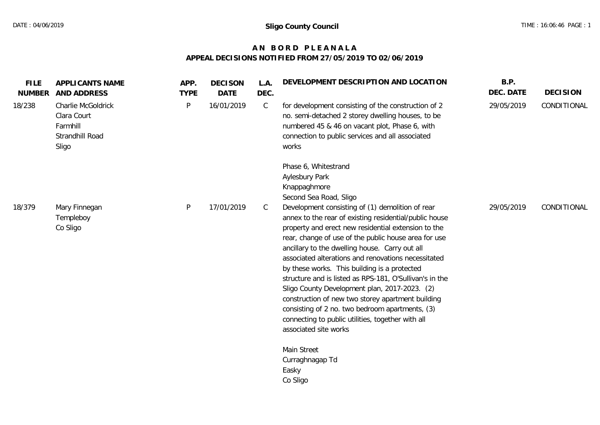# **A N B O R D P L E A N A L A APPEAL DECISIONS NOTIFIED FROM 27/05/2019 TO 02/06/2019**

| <b>FILE</b><br><b>NUMBER</b> | APPLICANTS NAME<br>AND ADDRESS                                            | APP.<br><b>TYPE</b> | <b>DECISON</b><br><b>DATE</b> | L.A.<br>DEC. | DEVELOPMENT DESCRIPTION AND LOCATION                                                                                                                                                                                                                                                                                                                                                                                                                                                                                                                                                                                                                                                 | B.P.<br>DEC. DATE | <b>DECISION</b> |
|------------------------------|---------------------------------------------------------------------------|---------------------|-------------------------------|--------------|--------------------------------------------------------------------------------------------------------------------------------------------------------------------------------------------------------------------------------------------------------------------------------------------------------------------------------------------------------------------------------------------------------------------------------------------------------------------------------------------------------------------------------------------------------------------------------------------------------------------------------------------------------------------------------------|-------------------|-----------------|
| 18/238                       | Charlie McGoldrick<br>Clara Court<br>Farmhill<br>Strandhill Road<br>Sligo | P                   | 16/01/2019                    | $\mathsf{C}$ | for development consisting of the construction of 2<br>no. semi-detached 2 storey dwelling houses, to be<br>numbered 45 & 46 on vacant plot, Phase 6, with<br>connection to public services and all associated<br>works                                                                                                                                                                                                                                                                                                                                                                                                                                                              | 29/05/2019        | CONDITIONAL     |
|                              |                                                                           |                     |                               |              | Phase 6, Whitestrand<br>Aylesbury Park<br>Knappaghmore<br>Second Sea Road, Sligo                                                                                                                                                                                                                                                                                                                                                                                                                                                                                                                                                                                                     |                   |                 |
| 18/379                       | Mary Finnegan<br>Templeboy<br>Co Sligo                                    | P                   | 17/01/2019                    | C            | Development consisting of (1) demolition of rear<br>annex to the rear of existing residential/public house<br>property and erect new residential extension to the<br>rear, change of use of the public house area for use<br>ancillary to the dwelling house. Carry out all<br>associated alterations and renovations necessitated<br>by these works. This building is a protected<br>structure and is listed as RPS-181, O'Sullivan's in the<br>Sligo County Development plan, 2017-2023. (2)<br>construction of new two storey apartment building<br>consisting of 2 no. two bedroom apartments, (3)<br>connecting to public utilities, together with all<br>associated site works | 29/05/2019        | CONDITIONAL     |
|                              |                                                                           |                     |                               |              | Main Street<br>Curraghnagap Td<br>Easky<br>Co Sligo                                                                                                                                                                                                                                                                                                                                                                                                                                                                                                                                                                                                                                  |                   |                 |